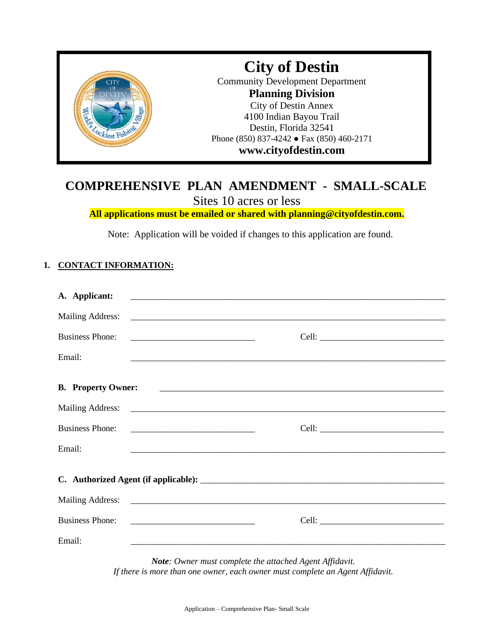

# **COMPREHENSIVE PLAN AMENDMENT - SMALL-SCALE**

Sites 10 acres or less

**All applications must be emailed or shared with planning@cityofdestin.com.**

Note: Application will be voided if changes to this application are found.

## **1. CONTACT INFORMATION:**

| A. Applicant:             | <u> 1999 - Jan James James James James James James James James James James James James James James James James J</u>  |  |  |  |  |
|---------------------------|-----------------------------------------------------------------------------------------------------------------------|--|--|--|--|
|                           |                                                                                                                       |  |  |  |  |
| <b>Business Phone:</b>    | <u> 1980 - Jan Alexander von Barbon (d. 1980)</u>                                                                     |  |  |  |  |
| Email:                    | <u> 1999 - Johann Harry Harry Harry Harry Harry Harry Harry Harry Harry Harry Harry Harry Harry Harry Harry Harry</u> |  |  |  |  |
| <b>B.</b> Property Owner: |                                                                                                                       |  |  |  |  |
|                           |                                                                                                                       |  |  |  |  |
| <b>Business Phone:</b>    |                                                                                                                       |  |  |  |  |
| Email:                    |                                                                                                                       |  |  |  |  |
|                           |                                                                                                                       |  |  |  |  |
|                           |                                                                                                                       |  |  |  |  |
| <b>Business Phone:</b>    |                                                                                                                       |  |  |  |  |
| Email:                    |                                                                                                                       |  |  |  |  |

*Note: Owner must complete the attached Agent Affidavit. If there is more than one owner, each owner must complete an Agent Affidavit.*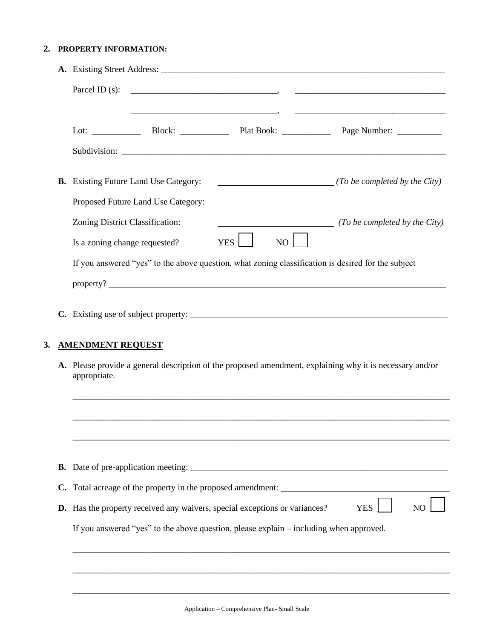#### **2. PROPERTY INFORMATION:**

|    | Parcel ID $(s)$ :                                                                                                        |                                                                            |                                                                                |                                                                                                    |  |  |
|----|--------------------------------------------------------------------------------------------------------------------------|----------------------------------------------------------------------------|--------------------------------------------------------------------------------|----------------------------------------------------------------------------------------------------|--|--|
|    |                                                                                                                          |                                                                            |                                                                                |                                                                                                    |  |  |
|    |                                                                                                                          | <b>B.</b> Existing Future Land Use Category:                               |                                                                                | $\overline{\hspace{2.5cm}}$ (To be completed by the City)                                          |  |  |
|    |                                                                                                                          | Proposed Future Land Use Category:                                         |                                                                                |                                                                                                    |  |  |
|    | Zoning District Classification:<br>Is a zoning change requested?                                                         |                                                                            | <u> 1989 - Johann Stein, mars an de Brasilia (b. 1989)</u><br>YES <sup>1</sup> | ( <i>To be completed by the City</i> )<br>NO                                                       |  |  |
|    |                                                                                                                          |                                                                            |                                                                                | If you answered "yes" to the above question, what zoning classification is desired for the subject |  |  |
|    |                                                                                                                          |                                                                            |                                                                                |                                                                                                    |  |  |
|    | <b>AMENDMENT REQUEST</b>                                                                                                 |                                                                            |                                                                                |                                                                                                    |  |  |
|    | A. Please provide a general description of the proposed amendment, explaining why it is necessary and/or<br>appropriate. |                                                                            |                                                                                |                                                                                                    |  |  |
|    |                                                                                                                          |                                                                            |                                                                                |                                                                                                    |  |  |
|    |                                                                                                                          |                                                                            |                                                                                |                                                                                                    |  |  |
|    |                                                                                                                          |                                                                            |                                                                                |                                                                                                    |  |  |
| C. |                                                                                                                          |                                                                            |                                                                                |                                                                                                    |  |  |
|    |                                                                                                                          | D. Has the property received any waivers, special exceptions or variances? |                                                                                | <b>YES</b><br>N <sub>O</sub>                                                                       |  |  |
|    |                                                                                                                          |                                                                            |                                                                                | If you answered "yes" to the above question, please explain – including when approved.             |  |  |

\_\_\_\_\_\_\_\_\_\_\_\_\_\_\_\_\_\_\_\_\_\_\_\_\_\_\_\_\_\_\_\_\_\_\_\_\_\_\_\_\_\_\_\_\_\_\_\_\_\_\_\_\_\_\_\_\_\_\_\_\_\_\_\_\_\_\_\_\_\_\_\_\_\_\_\_\_\_\_\_\_\_\_\_\_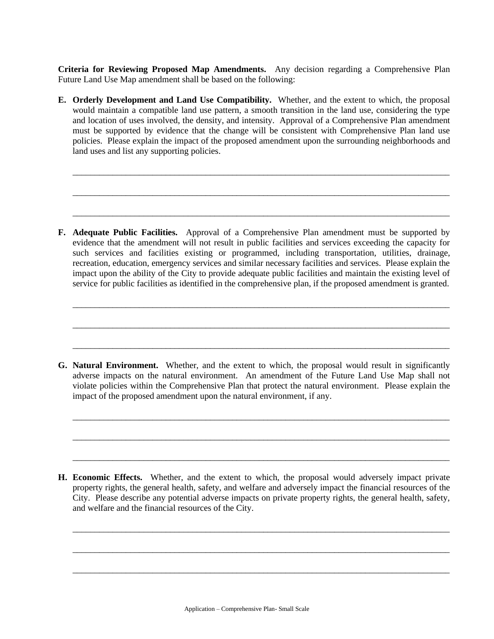**Criteria for Reviewing Proposed Map Amendments.** Any decision regarding a Comprehensive Plan Future Land Use Map amendment shall be based on the following:

**E. Orderly Development and Land Use Compatibility.** Whether, and the extent to which, the proposal would maintain a compatible land use pattern, a smooth transition in the land use, considering the type and location of uses involved, the density, and intensity. Approval of a Comprehensive Plan amendment must be supported by evidence that the change will be consistent with Comprehensive Plan land use policies. Please explain the impact of the proposed amendment upon the surrounding neighborhoods and land uses and list any supporting policies.

\_\_\_\_\_\_\_\_\_\_\_\_\_\_\_\_\_\_\_\_\_\_\_\_\_\_\_\_\_\_\_\_\_\_\_\_\_\_\_\_\_\_\_\_\_\_\_\_\_\_\_\_\_\_\_\_\_\_\_\_\_\_\_\_\_\_\_\_\_\_\_\_\_\_\_\_\_\_\_\_\_\_\_\_\_

\_\_\_\_\_\_\_\_\_\_\_\_\_\_\_\_\_\_\_\_\_\_\_\_\_\_\_\_\_\_\_\_\_\_\_\_\_\_\_\_\_\_\_\_\_\_\_\_\_\_\_\_\_\_\_\_\_\_\_\_\_\_\_\_\_\_\_\_\_\_\_\_\_\_\_\_\_\_\_\_\_\_\_\_\_

\_\_\_\_\_\_\_\_\_\_\_\_\_\_\_\_\_\_\_\_\_\_\_\_\_\_\_\_\_\_\_\_\_\_\_\_\_\_\_\_\_\_\_\_\_\_\_\_\_\_\_\_\_\_\_\_\_\_\_\_\_\_\_\_\_\_\_\_\_\_\_\_\_\_\_\_\_\_\_\_\_\_\_\_\_

**F. Adequate Public Facilities.** Approval of a Comprehensive Plan amendment must be supported by evidence that the amendment will not result in public facilities and services exceeding the capacity for such services and facilities existing or programmed, including transportation, utilities, drainage, recreation, education, emergency services and similar necessary facilities and services. Please explain the impact upon the ability of the City to provide adequate public facilities and maintain the existing level of service for public facilities as identified in the comprehensive plan, if the proposed amendment is granted.

\_\_\_\_\_\_\_\_\_\_\_\_\_\_\_\_\_\_\_\_\_\_\_\_\_\_\_\_\_\_\_\_\_\_\_\_\_\_\_\_\_\_\_\_\_\_\_\_\_\_\_\_\_\_\_\_\_\_\_\_\_\_\_\_\_\_\_\_\_\_\_\_\_\_\_\_\_\_\_\_\_\_\_\_\_

\_\_\_\_\_\_\_\_\_\_\_\_\_\_\_\_\_\_\_\_\_\_\_\_\_\_\_\_\_\_\_\_\_\_\_\_\_\_\_\_\_\_\_\_\_\_\_\_\_\_\_\_\_\_\_\_\_\_\_\_\_\_\_\_\_\_\_\_\_\_\_\_\_\_\_\_\_\_\_\_\_\_\_\_\_

\_\_\_\_\_\_\_\_\_\_\_\_\_\_\_\_\_\_\_\_\_\_\_\_\_\_\_\_\_\_\_\_\_\_\_\_\_\_\_\_\_\_\_\_\_\_\_\_\_\_\_\_\_\_\_\_\_\_\_\_\_\_\_\_\_\_\_\_\_\_\_\_\_\_\_\_\_\_\_\_\_\_\_\_\_

**G. Natural Environment.** Whether, and the extent to which, the proposal would result in significantly adverse impacts on the natural environment. An amendment of the Future Land Use Map shall not violate policies within the Comprehensive Plan that protect the natural environment. Please explain the impact of the proposed amendment upon the natural environment, if any.

\_\_\_\_\_\_\_\_\_\_\_\_\_\_\_\_\_\_\_\_\_\_\_\_\_\_\_\_\_\_\_\_\_\_\_\_\_\_\_\_\_\_\_\_\_\_\_\_\_\_\_\_\_\_\_\_\_\_\_\_\_\_\_\_\_\_\_\_\_\_\_\_\_\_\_\_\_\_\_\_\_\_\_\_\_

\_\_\_\_\_\_\_\_\_\_\_\_\_\_\_\_\_\_\_\_\_\_\_\_\_\_\_\_\_\_\_\_\_\_\_\_\_\_\_\_\_\_\_\_\_\_\_\_\_\_\_\_\_\_\_\_\_\_\_\_\_\_\_\_\_\_\_\_\_\_\_\_\_\_\_\_\_\_\_\_\_\_\_\_\_

\_\_\_\_\_\_\_\_\_\_\_\_\_\_\_\_\_\_\_\_\_\_\_\_\_\_\_\_\_\_\_\_\_\_\_\_\_\_\_\_\_\_\_\_\_\_\_\_\_\_\_\_\_\_\_\_\_\_\_\_\_\_\_\_\_\_\_\_\_\_\_\_\_\_\_\_\_\_\_\_\_\_\_\_\_

**H. Economic Effects.** Whether, and the extent to which, the proposal would adversely impact private property rights, the general health, safety, and welfare and adversely impact the financial resources of the City. Please describe any potential adverse impacts on private property rights, the general health, safety, and welfare and the financial resources of the City.

\_\_\_\_\_\_\_\_\_\_\_\_\_\_\_\_\_\_\_\_\_\_\_\_\_\_\_\_\_\_\_\_\_\_\_\_\_\_\_\_\_\_\_\_\_\_\_\_\_\_\_\_\_\_\_\_\_\_\_\_\_\_\_\_\_\_\_\_\_\_\_\_\_\_\_\_\_\_\_\_\_\_\_\_\_

\_\_\_\_\_\_\_\_\_\_\_\_\_\_\_\_\_\_\_\_\_\_\_\_\_\_\_\_\_\_\_\_\_\_\_\_\_\_\_\_\_\_\_\_\_\_\_\_\_\_\_\_\_\_\_\_\_\_\_\_\_\_\_\_\_\_\_\_\_\_\_\_\_\_\_\_\_\_\_\_\_\_\_\_\_

\_\_\_\_\_\_\_\_\_\_\_\_\_\_\_\_\_\_\_\_\_\_\_\_\_\_\_\_\_\_\_\_\_\_\_\_\_\_\_\_\_\_\_\_\_\_\_\_\_\_\_\_\_\_\_\_\_\_\_\_\_\_\_\_\_\_\_\_\_\_\_\_\_\_\_\_\_\_\_\_\_\_\_\_\_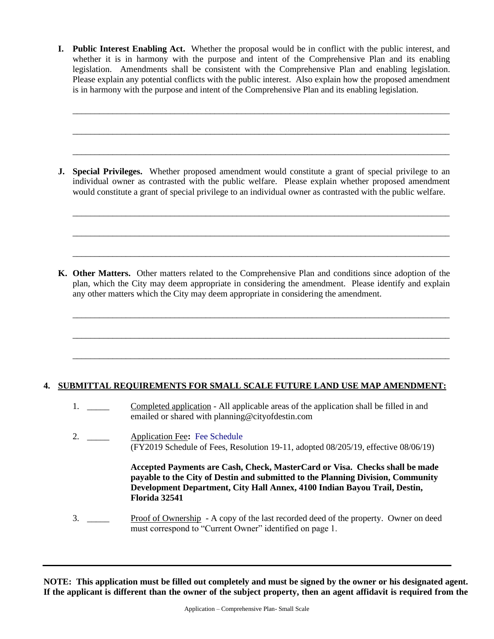**I. Public Interest Enabling Act.** Whether the proposal would be in conflict with the public interest, and whether it is in harmony with the purpose and intent of the Comprehensive Plan and its enabling legislation. Amendments shall be consistent with the Comprehensive Plan and enabling legislation. Please explain any potential conflicts with the public interest. Also explain how the proposed amendment is in harmony with the purpose and intent of the Comprehensive Plan and its enabling legislation.

\_\_\_\_\_\_\_\_\_\_\_\_\_\_\_\_\_\_\_\_\_\_\_\_\_\_\_\_\_\_\_\_\_\_\_\_\_\_\_\_\_\_\_\_\_\_\_\_\_\_\_\_\_\_\_\_\_\_\_\_\_\_\_\_\_\_\_\_\_\_\_\_\_\_\_\_\_\_\_\_\_\_\_\_\_

\_\_\_\_\_\_\_\_\_\_\_\_\_\_\_\_\_\_\_\_\_\_\_\_\_\_\_\_\_\_\_\_\_\_\_\_\_\_\_\_\_\_\_\_\_\_\_\_\_\_\_\_\_\_\_\_\_\_\_\_\_\_\_\_\_\_\_\_\_\_\_\_\_\_\_\_\_\_\_\_\_\_\_\_\_

\_\_\_\_\_\_\_\_\_\_\_\_\_\_\_\_\_\_\_\_\_\_\_\_\_\_\_\_\_\_\_\_\_\_\_\_\_\_\_\_\_\_\_\_\_\_\_\_\_\_\_\_\_\_\_\_\_\_\_\_\_\_\_\_\_\_\_\_\_\_\_\_\_\_\_\_\_\_\_\_\_\_\_\_\_

\_\_\_\_\_\_\_\_\_\_\_\_\_\_\_\_\_\_\_\_\_\_\_\_\_\_\_\_\_\_\_\_\_\_\_\_\_\_\_\_\_\_\_\_\_\_\_\_\_\_\_\_\_\_\_\_\_\_\_\_\_\_\_\_\_\_\_\_\_\_\_\_\_\_\_\_\_\_\_\_\_\_\_\_\_

\_\_\_\_\_\_\_\_\_\_\_\_\_\_\_\_\_\_\_\_\_\_\_\_\_\_\_\_\_\_\_\_\_\_\_\_\_\_\_\_\_\_\_\_\_\_\_\_\_\_\_\_\_\_\_\_\_\_\_\_\_\_\_\_\_\_\_\_\_\_\_\_\_\_\_\_\_\_\_\_\_\_\_\_\_

\_\_\_\_\_\_\_\_\_\_\_\_\_\_\_\_\_\_\_\_\_\_\_\_\_\_\_\_\_\_\_\_\_\_\_\_\_\_\_\_\_\_\_\_\_\_\_\_\_\_\_\_\_\_\_\_\_\_\_\_\_\_\_\_\_\_\_\_\_\_\_\_\_\_\_\_\_\_\_\_\_\_\_\_\_

\_\_\_\_\_\_\_\_\_\_\_\_\_\_\_\_\_\_\_\_\_\_\_\_\_\_\_\_\_\_\_\_\_\_\_\_\_\_\_\_\_\_\_\_\_\_\_\_\_\_\_\_\_\_\_\_\_\_\_\_\_\_\_\_\_\_\_\_\_\_\_\_\_\_\_\_\_\_\_\_\_\_\_\_\_

\_\_\_\_\_\_\_\_\_\_\_\_\_\_\_\_\_\_\_\_\_\_\_\_\_\_\_\_\_\_\_\_\_\_\_\_\_\_\_\_\_\_\_\_\_\_\_\_\_\_\_\_\_\_\_\_\_\_\_\_\_\_\_\_\_\_\_\_\_\_\_\_\_\_\_\_\_\_\_\_\_\_\_\_\_

\_\_\_\_\_\_\_\_\_\_\_\_\_\_\_\_\_\_\_\_\_\_\_\_\_\_\_\_\_\_\_\_\_\_\_\_\_\_\_\_\_\_\_\_\_\_\_\_\_\_\_\_\_\_\_\_\_\_\_\_\_\_\_\_\_\_\_\_\_\_\_\_\_\_\_\_\_\_\_\_\_\_\_\_\_

**J. Special Privileges.** Whether proposed amendment would constitute a grant of special privilege to an individual owner as contrasted with the public welfare. Please explain whether proposed amendment would constitute a grant of special privilege to an individual owner as contrasted with the public welfare.

**K. Other Matters.** Other matters related to the Comprehensive Plan and conditions since adoption of the plan, which the City may deem appropriate in considering the amendment. Please identify and explain any other matters which the City may deem appropriate in considering the amendment.

## **4. SUBMITTAL REQUIREMENTS FOR SMALL SCALE FUTURE LAND USE MAP AMENDMENT:**

- 1. Completed application All applicable areas of the application shall be filled in and emailed or shared with planning@cityofdestin.com
- 2. \_\_\_\_\_ Application Fee**:** [Fee Schedule](https://www.cityofdestin.com/DocumentCenter/View/119/Planning-Fees-FY2019?bidId=) (FY2019 Schedule of Fees, Resolution 19-11, adopted 08/205/19, effective 08/06/19)

**Accepted Payments are Cash, Check, MasterCard or Visa. Checks shall be made payable to the City of Destin and submitted to the Planning Division, Community Development Department, City Hall Annex, 4100 Indian Bayou Trail, Destin, Florida 32541**

3. \_\_\_\_\_ Proof of Ownership - A copy of the last recorded deed of the property. Owner on deed must correspond to "Current Owner" identified on page 1.

**NOTE: This application must be filled out completely and must be signed by the owner or his designated agent. If the applicant is different than the owner of the subject property, then an agent affidavit is required from the**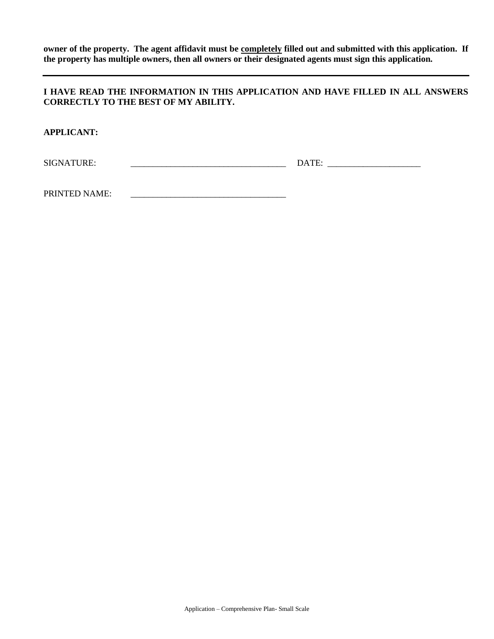**owner of the property. The agent affidavit must be completely filled out and submitted with this application. If the property has multiple owners, then all owners or their designated agents must sign this application.**

## **I HAVE READ THE INFORMATION IN THIS APPLICATION AND HAVE FILLED IN ALL ANSWERS CORRECTLY TO THE BEST OF MY ABILITY.**

**APPLICANT:**

SIGNATURE: \_\_\_\_\_\_\_\_\_\_\_\_\_\_\_\_\_\_\_\_\_\_\_\_\_\_\_\_\_\_\_\_\_\_\_ DATE: \_\_\_\_\_\_\_\_\_\_\_\_\_\_\_\_\_\_\_\_\_

PRINTED NAME: \_\_\_\_\_\_\_\_\_\_\_\_\_\_\_\_\_\_\_\_\_\_\_\_\_\_\_\_\_\_\_\_\_\_\_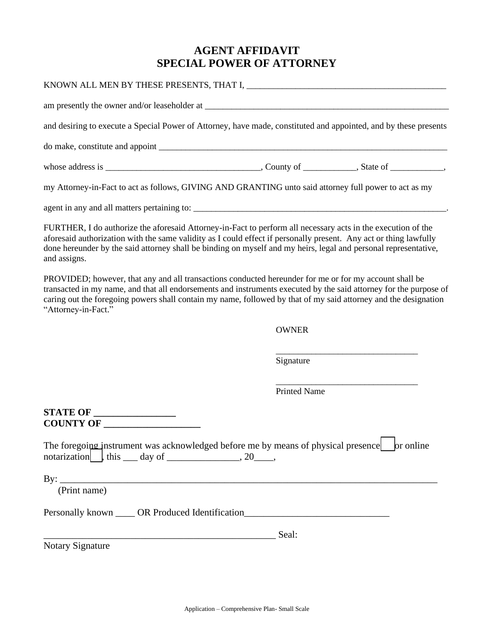## **AGENT AFFIDAVIT SPECIAL POWER OF ATTORNEY**

| and desiring to execute a Special Power of Attorney, have made, constituted and appointed, and by these presents                                                                                                                                                                                                                                                      |                     |  |
|-----------------------------------------------------------------------------------------------------------------------------------------------------------------------------------------------------------------------------------------------------------------------------------------------------------------------------------------------------------------------|---------------------|--|
|                                                                                                                                                                                                                                                                                                                                                                       |                     |  |
|                                                                                                                                                                                                                                                                                                                                                                       |                     |  |
| my Attorney-in-Fact to act as follows, GIVING AND GRANTING unto said attorney full power to act as my                                                                                                                                                                                                                                                                 |                     |  |
|                                                                                                                                                                                                                                                                                                                                                                       |                     |  |
| FURTHER, I do authorize the aforesaid Attorney-in-Fact to perform all necessary acts in the execution of the<br>aforesaid authorization with the same validity as I could effect if personally present. Any act or thing lawfully<br>done hereunder by the said attorney shall be binding on myself and my heirs, legal and personal representative,<br>and assigns.  |                     |  |
| PROVIDED; however, that any and all transactions conducted hereunder for me or for my account shall be<br>transacted in my name, and that all endorsements and instruments executed by the said attorney for the purpose of<br>caring out the foregoing powers shall contain my name, followed by that of my said attorney and the designation<br>"Attorney-in-Fact." |                     |  |
|                                                                                                                                                                                                                                                                                                                                                                       | <b>OWNER</b>        |  |
|                                                                                                                                                                                                                                                                                                                                                                       | Signature           |  |
|                                                                                                                                                                                                                                                                                                                                                                       | <b>Printed Name</b> |  |
| <b>STATE OF _________________</b><br>COUNTY OF                                                                                                                                                                                                                                                                                                                        |                     |  |
| The foregoing instrument was acknowledged before me by means of physical presence or online<br>$\text{notation}$ this $\_\text{day}$ of $\_\text{xxxx}$ , 20 $\_\text{day}$                                                                                                                                                                                           |                     |  |
| By: $\overline{\phantom{a}}$<br>(Print name)                                                                                                                                                                                                                                                                                                                          |                     |  |
| Personally known ______ OR Produced Identification                                                                                                                                                                                                                                                                                                                    |                     |  |
|                                                                                                                                                                                                                                                                                                                                                                       | Seal:               |  |
| <b>Notary Signature</b>                                                                                                                                                                                                                                                                                                                                               |                     |  |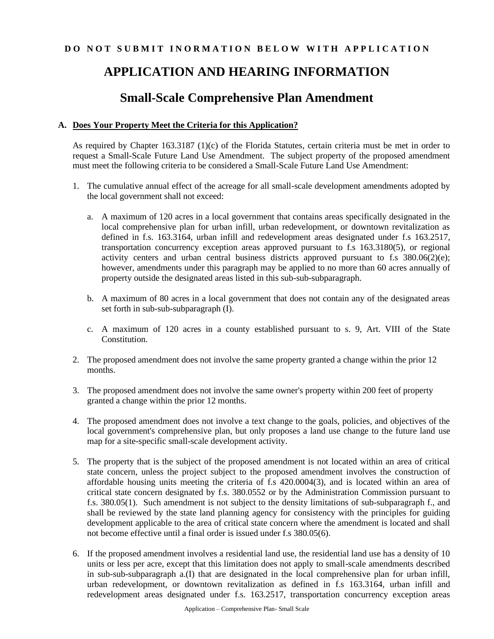## **DO NOT SUBMIT INORMATION BELOW WITH APPLICATION**

# **APPLICATION AND HEARING INFORMATION**

## **Small-Scale Comprehensive Plan Amendment**

## **A. Does Your Property Meet the Criteria for this Application?**

As required by Chapter 163.3187 (1)(c) of the Florida Statutes, certain criteria must be met in order to request a Small-Scale Future Land Use Amendment. The subject property of the proposed amendment must meet the following criteria to be considered a Small-Scale Future Land Use Amendment:

- 1. The cumulative annual effect of the acreage for all small-scale development amendments adopted by the local government shall not exceed:
	- a. A maximum of 120 acres in a local government that contains areas specifically designated in the local comprehensive plan for urban infill, urban redevelopment, or downtown revitalization as defined in f.s. 163.3164, urban infill and redevelopment areas designated under f.s 163.2517, transportation concurrency exception areas approved pursuant to f.s 163.3180(5), or regional activity centers and urban central business districts approved pursuant to f.s 380.06(2)(e); however, amendments under this paragraph may be applied to no more than 60 acres annually of property outside the designated areas listed in this sub-sub-subparagraph.
	- b. A maximum of 80 acres in a local government that does not contain any of the designated areas set forth in sub-sub-subparagraph (I).
	- c. A maximum of 120 acres in a county established pursuant to s. 9, Art. VIII of the State Constitution.
- 2. The proposed amendment does not involve the same property granted a change within the prior 12 months.
- 3. The proposed amendment does not involve the same owner's property within 200 feet of property granted a change within the prior 12 months.
- 4. The proposed amendment does not involve a text change to the goals, policies, and objectives of the local government's comprehensive plan, but only proposes a land use change to the future land use map for a site-specific small-scale development activity.
- 5. The property that is the subject of the proposed amendment is not located within an area of critical state concern, unless the project subject to the proposed amendment involves the construction of affordable housing units meeting the criteria of f.s 420.0004(3), and is located within an area of critical state concern designated by f.s. 380.0552 or by the Administration Commission pursuant to f.s. 380.05(1). Such amendment is not subject to the density limitations of sub-subparagraph f., and shall be reviewed by the state land planning agency for consistency with the principles for guiding development applicable to the area of critical state concern where the amendment is located and shall not become effective until a final order is issued under f.s 380.05(6).
- 6. If the proposed amendment involves a residential land use, the residential land use has a density of 10 units or less per acre, except that this limitation does not apply to small-scale amendments described in sub-sub-subparagraph a.(I) that are designated in the local comprehensive plan for urban infill, urban redevelopment, or downtown revitalization as defined in f.s 163.3164, urban infill and redevelopment areas designated under f.s. 163.2517, transportation concurrency exception areas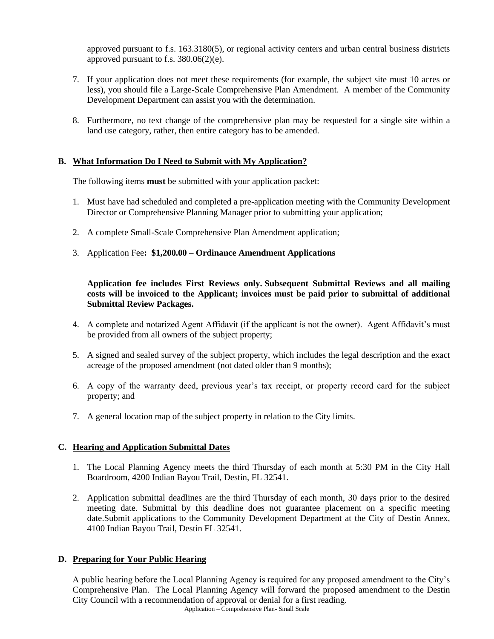approved pursuant to f.s. 163.3180(5), or regional activity centers and urban central business districts approved pursuant to f.s.  $380.06(2)(e)$ .

- 7. If your application does not meet these requirements (for example, the subject site must 10 acres or less), you should file a Large-Scale Comprehensive Plan Amendment. A member of the Community Development Department can assist you with the determination.
- 8. Furthermore, no text change of the comprehensive plan may be requested for a single site within a land use category, rather, then entire category has to be amended.

### **B. What Information Do I Need to Submit with My Application?**

The following items **must** be submitted with your application packet:

- 1. Must have had scheduled and completed a pre-application meeting with the Community Development Director or Comprehensive Planning Manager prior to submitting your application;
- 2. A complete Small-Scale Comprehensive Plan Amendment application;
- 3. Application Fee**: \$1,200.00 – Ordinance Amendment Applications**

### **Application fee includes First Reviews only. Subsequent Submittal Reviews and all mailing costs will be invoiced to the Applicant; invoices must be paid prior to submittal of additional Submittal Review Packages.**

- 4. A complete and notarized Agent Affidavit (if the applicant is not the owner). Agent Affidavit's must be provided from all owners of the subject property;
- 5. A signed and sealed survey of the subject property, which includes the legal description and the exact acreage of the proposed amendment (not dated older than 9 months);
- 6. A copy of the warranty deed, previous year's tax receipt, or property record card for the subject property; and
- 7. A general location map of the subject property in relation to the City limits.

## **C. Hearing and Application Submittal Dates**

- 1. The Local Planning Agency meets the third Thursday of each month at 5:30 PM in the City Hall Boardroom, 4200 Indian Bayou Trail, Destin, FL 32541.
- 2. Application submittal deadlines are the third Thursday of each month, 30 days prior to the desired meeting date. Submittal by this deadline does not guarantee placement on a specific meeting date.Submit applications to the Community Development Department at the City of Destin Annex, 4100 Indian Bayou Trail, Destin FL 32541.

## **D. Preparing for Your Public Hearing**

Application – Comprehensive Plan- Small Scale A public hearing before the Local Planning Agency is required for any proposed amendment to the City's Comprehensive Plan. The Local Planning Agency will forward the proposed amendment to the Destin City Council with a recommendation of approval or denial for a first reading.